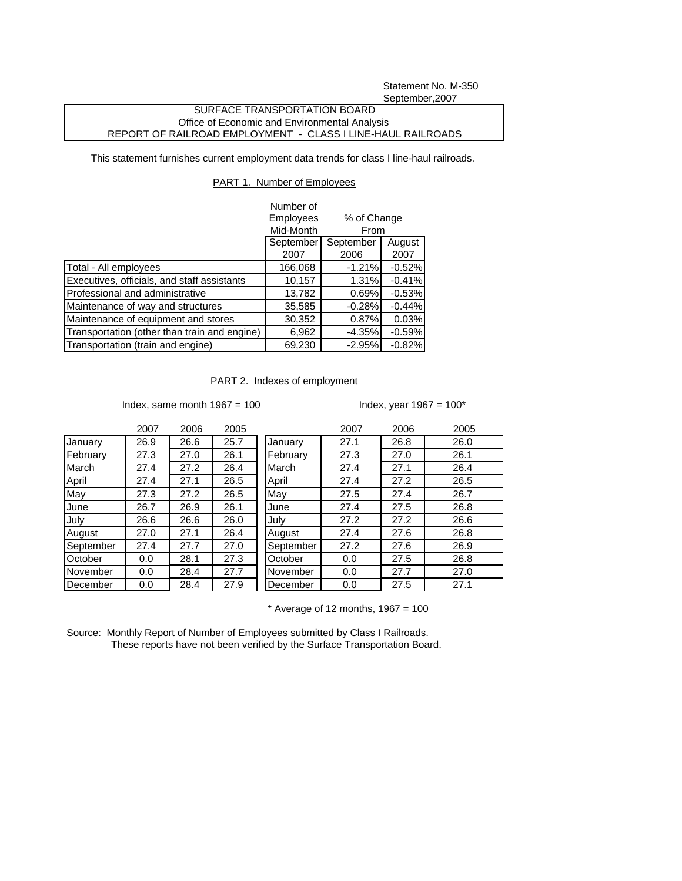Statement No. M-350 September,2007

## SURFACE TRANSPORTATION BOARD Office of Economic and Environmental Analysis REPORT OF RAILROAD EMPLOYMENT - CLASS I LINE-HAUL RAILROADS

This statement furnishes current employment data trends for class I line-haul railroads.

## PART 1. Number of Employees

|                                              | Number of                                     |           |          |
|----------------------------------------------|-----------------------------------------------|-----------|----------|
|                                              | Employees<br>% of Change<br>Mid-Month<br>From |           |          |
|                                              |                                               |           |          |
|                                              | September                                     | September | August   |
|                                              | 2007                                          | 2006      | 2007     |
| Total - All employees                        | 166,068                                       | $-1.21%$  | $-0.52%$ |
| Executives, officials, and staff assistants  | 10,157                                        | 1.31%     | $-0.41%$ |
| Professional and administrative              | 13,782                                        | 0.69%     | $-0.53%$ |
| Maintenance of way and structures            | 35,585                                        | $-0.28%$  | $-0.44%$ |
| Maintenance of equipment and stores          | 30,352                                        | 0.87%     | 0.03%    |
| Transportation (other than train and engine) | 6,962                                         | $-4.35%$  | $-0.59%$ |
| Transportation (train and engine)            | 69,230                                        | $-2.95%$  | $-0.82%$ |

## PART 2. Indexes of employment

Index, same month  $1967 = 100$  Index, year  $1967 = 100^*$ 

|           | 2007 | 2006 | 2005 |
|-----------|------|------|------|
| January   | 26.9 | 26.6 | 25.7 |
| February  | 27.3 | 27.0 | 26.1 |
| March     | 27.4 | 27.2 | 26.4 |
| April     | 27.4 | 27.1 | 26.5 |
| May       | 27.3 | 27.2 | 26.5 |
| June      | 26.7 | 26.9 | 26.1 |
| July      | 26.6 | 26.6 | 26.0 |
| August    | 27.0 | 27.1 | 26.4 |
| September | 27.4 | 27.7 | 27.0 |
| October   | 0.0  | 28.1 | 27.3 |
| November  | 0.0  | 28.4 | 27.7 |
| December  | 0.0  | 28.4 | 27.9 |

|           | 2007 | 2006 | 2005 |           | 2007 | 2006 | 2005 |
|-----------|------|------|------|-----------|------|------|------|
| January   | 26.9 | 26.6 | 25.7 | January   | 27.1 | 26.8 | 26.0 |
| February  | 27.3 | 27.0 | 26.1 | February  | 27.3 | 27.0 | 26.1 |
| March     | 27.4 | 27.2 | 26.4 | March     | 27.4 | 27.1 | 26.4 |
| April     | 27.4 | 27.1 | 26.5 | April     | 27.4 | 27.2 | 26.5 |
| May       | 27.3 | 27.2 | 26.5 | May       | 27.5 | 27.4 | 26.7 |
| June      | 26.7 | 26.9 | 26.1 | June      | 27.4 | 27.5 | 26.8 |
| July      | 26.6 | 26.6 | 26.0 | July      | 27.2 | 27.2 | 26.6 |
| August    | 27.0 | 27.1 | 26.4 | August    | 27.4 | 27.6 | 26.8 |
| September | 27.4 | 27.7 | 27.0 | September | 27.2 | 27.6 | 26.9 |
| October   | 0.0  | 28.1 | 27.3 | October   | 0.0  | 27.5 | 26.8 |
| November  | 0.0  | 28.4 | 27.7 | November  | 0.0  | 27.7 | 27.0 |
| December  | 0.0  | 28.4 | 27.9 | December  | 0.0  | 27.5 | 27.1 |
|           |      |      |      |           |      |      |      |

 $*$  Average of 12 months, 1967 = 100

Source: Monthly Report of Number of Employees submitted by Class I Railroads. These reports have not been verified by the Surface Transportation Board.